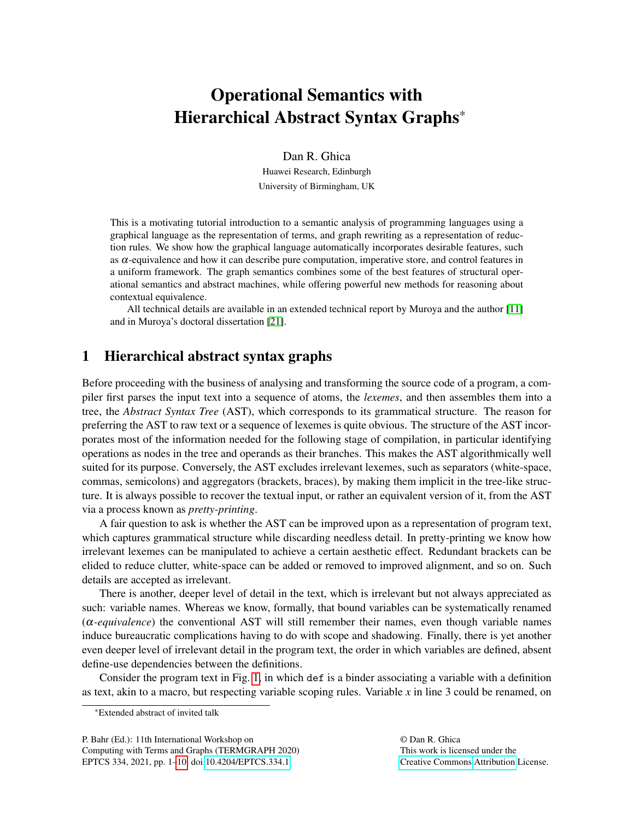# Operational Semantics with Hierarchical Abstract Syntax Graphs\*

Dan R. Ghica

Huawei Research, Edinburgh University of Birmingham, UK

This is a motivating tutorial introduction to a semantic analysis of programming languages using a graphical language as the representation of terms, and graph rewriting as a representation of reduction rules. We show how the graphical language automatically incorporates desirable features, such as  $\alpha$ -equivalence and how it can describe pure computation, imperative store, and control features in a uniform framework. The graph semantics combines some of the best features of structural operational semantics and abstract machines, while offering powerful new methods for reasoning about contextual equivalence.

All technical details are available in an extended technical report by Muroya and the author [\[11\]](#page-8-0) and in Muroya's doctoral dissertation [\[21\]](#page-8-1).

# 1 Hierarchical abstract syntax graphs

Before proceeding with the business of analysing and transforming the source code of a program, a compiler first parses the input text into a sequence of atoms, the *lexemes*, and then assembles them into a tree, the *Abstract Syntax Tree* (AST), which corresponds to its grammatical structure. The reason for preferring the AST to raw text or a sequence of lexemes is quite obvious. The structure of the AST incorporates most of the information needed for the following stage of compilation, in particular identifying operations as nodes in the tree and operands as their branches. This makes the AST algorithmically well suited for its purpose. Conversely, the AST excludes irrelevant lexemes, such as separators (white-space, commas, semicolons) and aggregators (brackets, braces), by making them implicit in the tree-like structure. It is always possible to recover the textual input, or rather an equivalent version of it, from the AST via a process known as *pretty-printing*.

A fair question to ask is whether the AST can be improved upon as a representation of program text, which captures grammatical structure while discarding needless detail. In pretty-printing we know how irrelevant lexemes can be manipulated to achieve a certain aesthetic effect. Redundant brackets can be elided to reduce clutter, white-space can be added or removed to improved alignment, and so on. Such details are accepted as irrelevant.

There is another, deeper level of detail in the text, which is irrelevant but not always appreciated as such: variable names. Whereas we know, formally, that bound variables can be systematically renamed (α*-equivalence*) the conventional AST will still remember their names, even though variable names induce bureaucratic complications having to do with scope and shadowing. Finally, there is yet another even deeper level of irrelevant detail in the program text, the order in which variables are defined, absent define-use dependencies between the definitions.

Consider the program text in Fig. [1,](#page-1-0) in which def is a binder associating a variable with a definition as text, akin to a macro, but respecting variable scoping rules. Variable *x* in line 3 could be renamed, on

P. Bahr (Ed.): 11th International Workshop on Computing with Terms and Graphs (TERMGRAPH 2020) EPTCS 334, 2021, pp. 1[–10,](#page-9-0) doi[:10.4204/EPTCS.334.1](http://dx.doi.org/10.4204/EPTCS.334.1)

<sup>\*</sup>Extended abstract of invited talk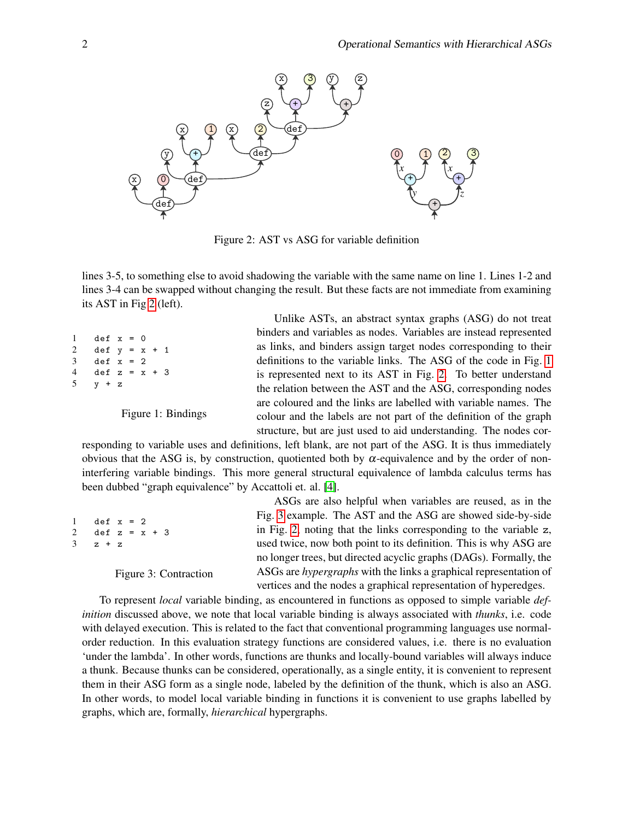

<span id="page-1-1"></span>Figure 2: AST vs ASG for variable definition

lines 3-5, to something else to avoid shadowing the variable with the same name on line 1. Lines 1-2 and lines 3-4 can be swapped without changing the result. But these facts are not immediate from examining its AST in Fig [2](#page-1-1) (left).

```
1 def x = 02 def y = x + 13 def x = 24 def z = x + 3
5 \quad v + z
```
<span id="page-1-0"></span>Figure 1: Bindings

Unlike ASTs, an abstract syntax graphs (ASG) do not treat binders and variables as nodes. Variables are instead represented as links, and binders assign target nodes corresponding to their definitions to the variable links. The ASG of the code in Fig. [1](#page-1-0) is represented next to its AST in Fig. [2.](#page-1-1) To better understand the relation between the AST and the ASG, corresponding nodes are coloured and the links are labelled with variable names. The colour and the labels are not part of the definition of the graph structure, but are just used to aid understanding. The nodes cor-

responding to variable uses and definitions, left blank, are not part of the ASG. It is thus immediately obvious that the ASG is, by construction, quotiented both by α-equivalence and by the order of noninterfering variable bindings. This more general structural equivalence of lambda calculus terms has been dubbed "graph equivalence" by Accattoli et. al. [\[4\]](#page-7-0).

| $1$ def $x = 2$   |
|-------------------|
| 2 def $z = x + 3$ |
| $3 \times z + z$  |
|                   |

<span id="page-1-2"></span>Figure 3: Contraction

ASGs are also helpful when variables are reused, as in the Fig. [3](#page-1-2) example. The AST and the ASG are showed side-by-side in Fig. [2,](#page-1-1) noting that the links corresponding to the variable z, used twice, now both point to its definition. This is why ASG are no longer trees, but directed acyclic graphs (DAGs). Formally, the ASGs are *hypergraphs* with the links a graphical representation of vertices and the nodes a graphical representation of hyperedges.

To represent *local* variable binding, as encountered in functions as opposed to simple variable *definition* discussed above, we note that local variable binding is always associated with *thunks*, i.e. code with delayed execution. This is related to the fact that conventional programming languages use normalorder reduction. In this evaluation strategy functions are considered values, i.e. there is no evaluation 'under the lambda'. In other words, functions are thunks and locally-bound variables will always induce a thunk. Because thunks can be considered, operationally, as a single entity, it is convenient to represent them in their ASG form as a single node, labeled by the definition of the thunk, which is also an ASG. In other words, to model local variable binding in functions it is convenient to use graphs labelled by graphs, which are, formally, *hierarchical* hypergraphs.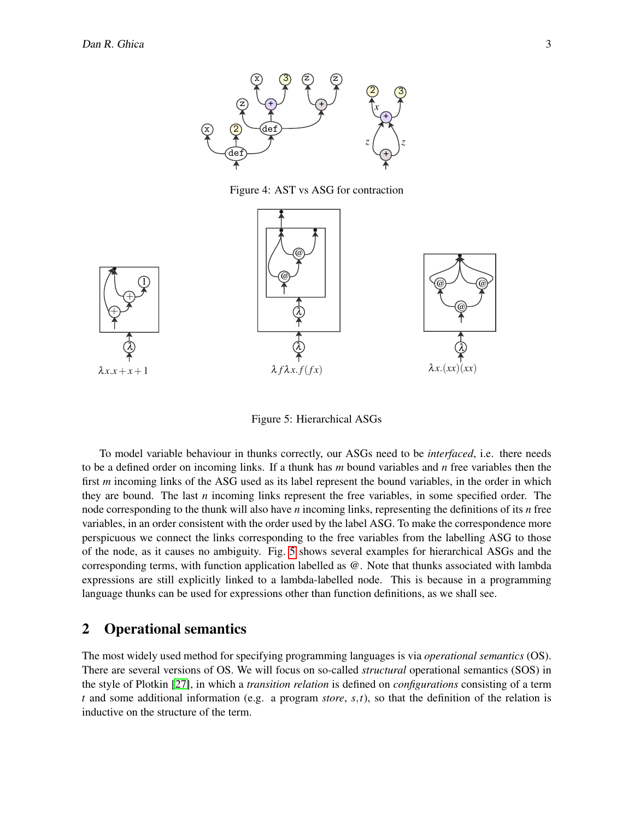

<span id="page-2-1"></span>Figure 4: AST vs ASG for contraction



<span id="page-2-0"></span>Figure 5: Hierarchical ASGs

To model variable behaviour in thunks correctly, our ASGs need to be *interfaced*, i.e. there needs to be a defined order on incoming links. If a thunk has *m* bound variables and *n* free variables then the first *m* incoming links of the ASG used as its label represent the bound variables, in the order in which they are bound. The last *n* incoming links represent the free variables, in some specified order. The node corresponding to the thunk will also have *n* incoming links, representing the definitions of its *n* free variables, in an order consistent with the order used by the label ASG. To make the correspondence more perspicuous we connect the links corresponding to the free variables from the labelling ASG to those of the node, as it causes no ambiguity. Fig. [5](#page-2-0) shows several examples for hierarchical ASGs and the corresponding terms, with function application labelled as @. Note that thunks associated with lambda expressions are still explicitly linked to a lambda-labelled node. This is because in a programming language thunks can be used for expressions other than function definitions, as we shall see.

### 2 Operational semantics

The most widely used method for specifying programming languages is via *operational semantics* (OS). There are several versions of OS. We will focus on so-called *structural* operational semantics (SOS) in the style of Plotkin [\[27\]](#page-9-1), in which a *transition relation* is defined on *configurations* consisting of a term *t* and some additional information (e.g. a program *store*, *s*,*t*), so that the definition of the relation is inductive on the structure of the term.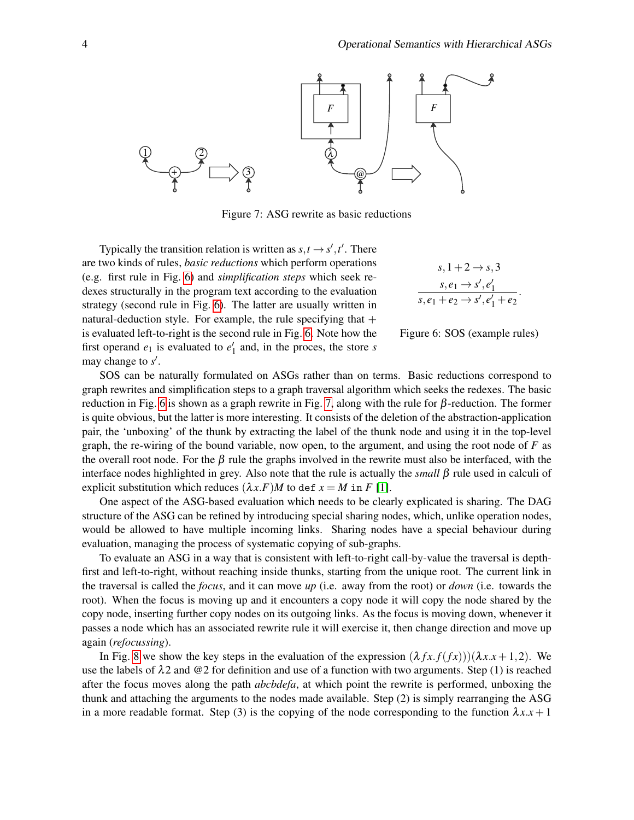

<span id="page-3-1"></span>Figure 7: ASG rewrite as basic reductions

Typically the transition relation is written as  $s, t \rightarrow s', t'$ . There are two kinds of rules, *basic reductions* which perform operations (e.g. first rule in Fig. [6\)](#page-3-0) and *simplification steps* which seek redexes structurally in the program text according to the evaluation strategy (second rule in Fig. [6\)](#page-3-0). The latter are usually written in natural-deduction style. For example, the rule specifying that  $+$ is evaluated left-to-right is the second rule in Fig. [6.](#page-3-0) Note how the first operand  $e_1$  is evaluated to  $e'_1$  and, in the proces, the store *s* may change to  $s'$ .

$$
s, 1+2 \rightarrow s, 3
$$
  
\n
$$
s, e_1 \rightarrow s', e'_1
$$
  
\n
$$
s, e_1 + e_2 \rightarrow s', e'_1 + e_2
$$

<span id="page-3-0"></span>

SOS can be naturally formulated on ASGs rather than on terms. Basic reductions correspond to graph rewrites and simplification steps to a graph traversal algorithm which seeks the redexes. The basic reduction in Fig. [6](#page-3-0) is shown as a graph rewrite in Fig. [7,](#page-3-1) along with the rule for  $\beta$ -reduction. The former is quite obvious, but the latter is more interesting. It consists of the deletion of the abstraction-application pair, the 'unboxing' of the thunk by extracting the label of the thunk node and using it in the top-level graph, the re-wiring of the bound variable, now open, to the argument, and using the root node of  $F$  as the overall root node. For the  $\beta$  rule the graphs involved in the rewrite must also be interfaced, with the interface nodes highlighted in grey. Also note that the rule is actually the *small* β rule used in calculi of explicit substitution which reduces  $(\lambda x.F)M$  to def  $x = M$  in *F* [\[1\]](#page-7-1).

One aspect of the ASG-based evaluation which needs to be clearly explicated is sharing. The DAG structure of the ASG can be refined by introducing special sharing nodes, which, unlike operation nodes, would be allowed to have multiple incoming links. Sharing nodes have a special behaviour during evaluation, managing the process of systematic copying of sub-graphs.

To evaluate an ASG in a way that is consistent with left-to-right call-by-value the traversal is depthfirst and left-to-right, without reaching inside thunks, starting from the unique root. The current link in the traversal is called the *focus*, and it can move *up* (i.e. away from the root) or *down* (i.e. towards the root). When the focus is moving up and it encounters a copy node it will copy the node shared by the copy node, inserting further copy nodes on its outgoing links. As the focus is moving down, whenever it passes a node which has an associated rewrite rule it will exercise it, then change direction and move up again (*refocussing*).

In Fig. [8](#page-4-0) we show the key steps in the evaluation of the expression  $(\lambda fx.f(fx)))(\lambda x.x + 1,2)$ . We use the labels of  $\lambda$ 2 and @2 for definition and use of a function with two arguments. Step (1) is reached after the focus moves along the path *abcbdefa*, at which point the rewrite is performed, unboxing the thunk and attaching the arguments to the nodes made available. Step (2) is simply rearranging the ASG in a more readable format. Step (3) is the copying of the node corresponding to the function  $\lambda x.x + 1$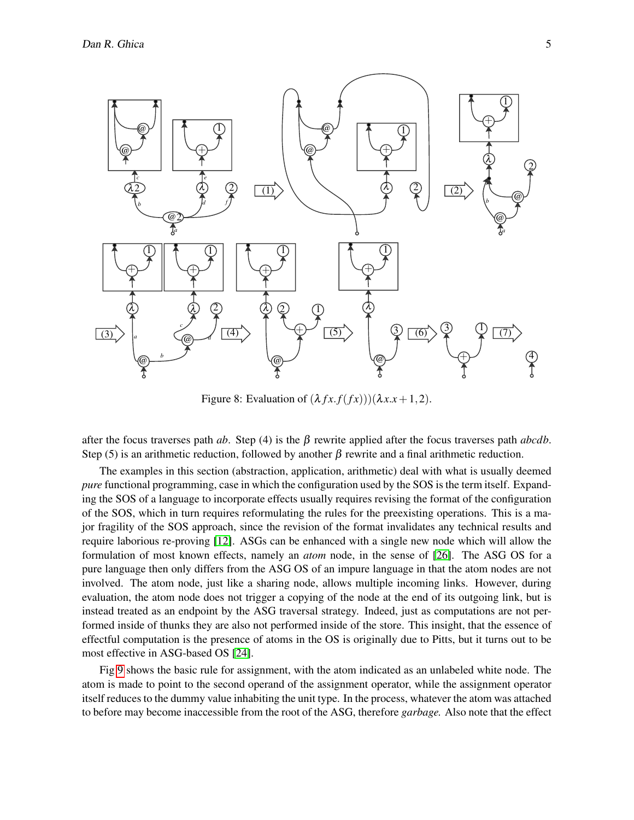

<span id="page-4-0"></span>Figure 8: Evaluation of  $(\lambda fx.f(fx)))(\lambda x.x+1,2)$ .

after the focus traverses path *ab*. Step (4) is the β rewrite applied after the focus traverses path *abcdb*. Step (5) is an arithmetic reduction, followed by another  $\beta$  rewrite and a final arithmetic reduction.

The examples in this section (abstraction, application, arithmetic) deal with what is usually deemed *pure* functional programming, case in which the configuration used by the SOS is the term itself. Expanding the SOS of a language to incorporate effects usually requires revising the format of the configuration of the SOS, which in turn requires reformulating the rules for the preexisting operations. This is a major fragility of the SOS approach, since the revision of the format invalidates any technical results and require laborious re-proving [\[12\]](#page-8-2). ASGs can be enhanced with a single new node which will allow the formulation of most known effects, namely an *atom* node, in the sense of [\[26\]](#page-9-2). The ASG OS for a pure language then only differs from the ASG OS of an impure language in that the atom nodes are not involved. The atom node, just like a sharing node, allows multiple incoming links. However, during evaluation, the atom node does not trigger a copying of the node at the end of its outgoing link, but is instead treated as an endpoint by the ASG traversal strategy. Indeed, just as computations are not performed inside of thunks they are also not performed inside of the store. This insight, that the essence of effectful computation is the presence of atoms in the OS is originally due to Pitts, but it turns out to be most effective in ASG-based OS [\[24\]](#page-9-3).

Fig [9](#page-5-0) shows the basic rule for assignment, with the atom indicated as an unlabeled white node. The atom is made to point to the second operand of the assignment operator, while the assignment operator itself reduces to the dummy value inhabiting the unit type. In the process, whatever the atom was attached to before may become inaccessible from the root of the ASG, therefore *garbage.* Also note that the effect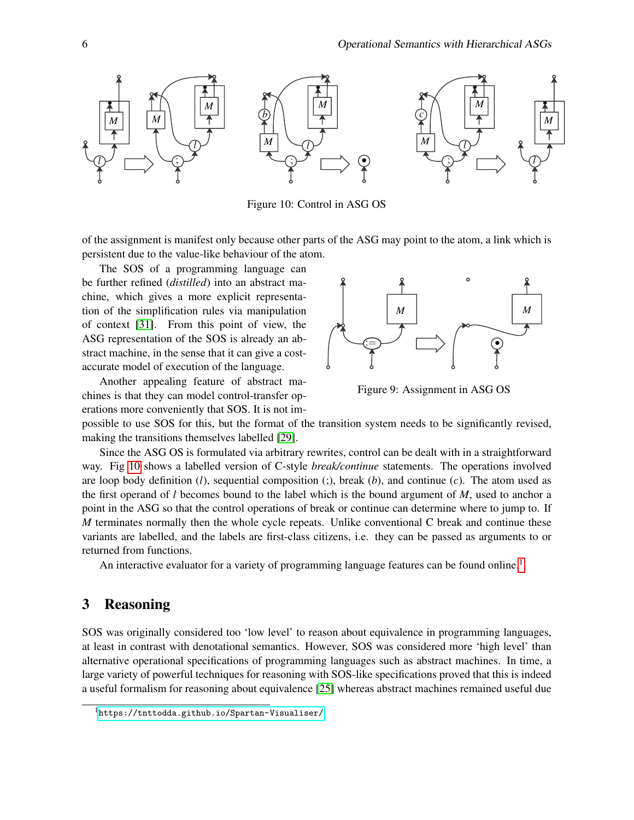

<span id="page-5-1"></span>Figure 10: Control in ASG OS

of the assignment is manifest only because other parts of the ASG may point to the atom, a link which is persistent due to the value-like behaviour of the atom.

The SOS of a programming language can be further refined (*distilled*) into an abstract machine, which gives a more explicit representation of the simplification rules via manipulation of context [\[31\]](#page-9-4). From this point of view, the ASG representation of the SOS is already an abstract machine, in the sense that it can give a costaccurate model of execution of the language.

Another appealing feature of abstract machines is that they can model control-transfer operations more conveniently that SOS. It is not im-



<span id="page-5-0"></span>Figure 9: Assignment in ASG OS

possible to use SOS for this, but the format of the transition system needs to be significantly revised, making the transitions themselves labelled [\[29\]](#page-9-5).

Since the ASG OS is formulated via arbitrary rewrites, control can be dealt with in a straightforward way. Fig [10](#page-5-1) shows a labelled version of C-style *break/continue* statements. The operations involved are loop body definition (*l*), sequential composition (;), break (*b*), and continue (*c*). The atom used as the first operand of *l* becomes bound to the label which is the bound argument of *M*, used to anchor a point in the ASG so that the control operations of break or continue can determine where to jump to. If *M* terminates normally then the whole cycle repeats. Unlike conventional C break and continue these variants are labelled, and the labels are first-class citizens, i.e. they can be passed as arguments to or returned from functions.

An interactive evaluator for a variety of programming language features can be found online.<sup>[1](#page-5-2)</sup>.

# 3 Reasoning

SOS was originally considered too 'low level' to reason about equivalence in programming languages, at least in contrast with denotational semantics. However, SOS was considered more 'high level' than alternative operational specifications of programming languages such as abstract machines. In time, a large variety of powerful techniques for reasoning with SOS-like specifications proved that this is indeed a useful formalism for reasoning about equivalence [\[25\]](#page-9-6) whereas abstract machines remained useful due

<span id="page-5-2"></span><sup>1</sup><https://tnttodda.github.io/Spartan-Visualiser/>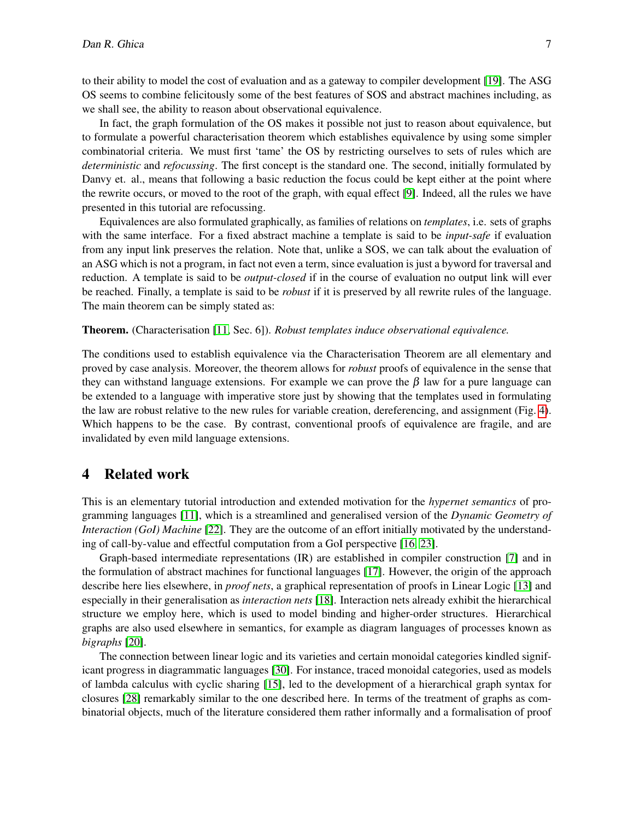to their ability to model the cost of evaluation and as a gateway to compiler development [\[19\]](#page-8-3). The ASG OS seems to combine felicitously some of the best features of SOS and abstract machines including, as we shall see, the ability to reason about observational equivalence.

In fact, the graph formulation of the OS makes it possible not just to reason about equivalence, but to formulate a powerful characterisation theorem which establishes equivalence by using some simpler combinatorial criteria. We must first 'tame' the OS by restricting ourselves to sets of rules which are *deterministic* and *refocussing*. The first concept is the standard one. The second, initially formulated by Danvy et. al., means that following a basic reduction the focus could be kept either at the point where the rewrite occurs, or moved to the root of the graph, with equal effect [\[9\]](#page-8-4). Indeed, all the rules we have presented in this tutorial are refocussing.

Equivalences are also formulated graphically, as families of relations on *templates*, i.e. sets of graphs with the same interface. For a fixed abstract machine a template is said to be *input-safe* if evaluation from any input link preserves the relation. Note that, unlike a SOS, we can talk about the evaluation of an ASG which is not a program, in fact not even a term, since evaluation is just a byword for traversal and reduction. A template is said to be *output-closed* if in the course of evaluation no output link will ever be reached. Finally, a template is said to be *robust* if it is preserved by all rewrite rules of the language. The main theorem can be simply stated as:

#### Theorem. (Characterisation [\[11,](#page-8-0) Sec. 6]). *Robust templates induce observational equivalence.*

The conditions used to establish equivalence via the Characterisation Theorem are all elementary and proved by case analysis. Moreover, the theorem allows for *robust* proofs of equivalence in the sense that they can withstand language extensions. For example we can prove the  $\beta$  law for a pure language can be extended to a language with imperative store just by showing that the templates used in formulating the law are robust relative to the new rules for variable creation, dereferencing, and assignment (Fig. [4\)](#page-2-1). Which happens to be the case. By contrast, conventional proofs of equivalence are fragile, and are invalidated by even mild language extensions.

## 4 Related work

This is an elementary tutorial introduction and extended motivation for the *hypernet semantics* of programming languages [\[11\]](#page-8-0), which is a streamlined and generalised version of the *Dynamic Geometry of Interaction (GoI) Machine* [\[22\]](#page-8-5). They are the outcome of an effort initially motivated by the understanding of call-by-value and effectful computation from a GoI perspective [\[16,](#page-8-6) [23\]](#page-8-7).

Graph-based intermediate representations (IR) are established in compiler construction [\[7\]](#page-7-2) and in the formulation of abstract machines for functional languages [\[17\]](#page-8-8). However, the origin of the approach describe here lies elsewhere, in *proof nets*, a graphical representation of proofs in Linear Logic [\[13\]](#page-8-9) and especially in their generalisation as *interaction nets* [\[18\]](#page-8-10). Interaction nets already exhibit the hierarchical structure we employ here, which is used to model binding and higher-order structures. Hierarchical graphs are also used elsewhere in semantics, for example as diagram languages of processes known as *bigraphs* [\[20\]](#page-8-11).

The connection between linear logic and its varieties and certain monoidal categories kindled significant progress in diagrammatic languages [\[30\]](#page-9-7). For instance, traced monoidal categories, used as models of lambda calculus with cyclic sharing [\[15\]](#page-8-12), led to the development of a hierarchical graph syntax for closures [\[28\]](#page-9-8) remarkably similar to the one described here. In terms of the treatment of graphs as combinatorial objects, much of the literature considered them rather informally and a formalisation of proof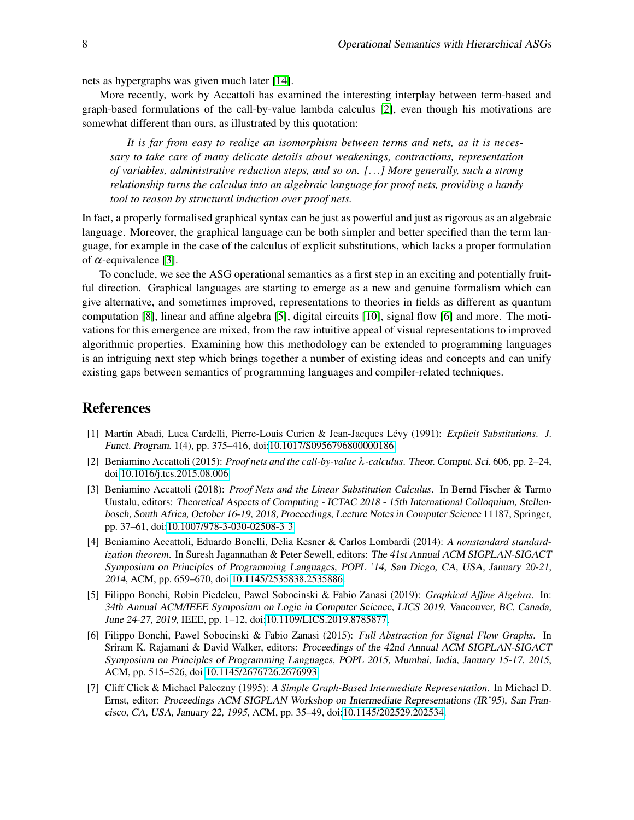nets as hypergraphs was given much later [\[14\]](#page-8-13).

More recently, work by Accattoli has examined the interesting interplay between term-based and graph-based formulations of the call-by-value lambda calculus [\[2\]](#page-7-3), even though his motivations are somewhat different than ours, as illustrated by this quotation:

*It is far from easy to realize an isomorphism between terms and nets, as it is necessary to take care of many delicate details about weakenings, contractions, representation of variables, administrative reduction steps, and so on. [*...*] More generally, such a strong relationship turns the calculus into an algebraic language for proof nets, providing a handy tool to reason by structural induction over proof nets.*

In fact, a properly formalised graphical syntax can be just as powerful and just as rigorous as an algebraic language. Moreover, the graphical language can be both simpler and better specified than the term language, for example in the case of the calculus of explicit substitutions, which lacks a proper formulation of  $\alpha$ -equivalence [\[3\]](#page-7-4).

To conclude, we see the ASG operational semantics as a first step in an exciting and potentially fruitful direction. Graphical languages are starting to emerge as a new and genuine formalism which can give alternative, and sometimes improved, representations to theories in fields as different as quantum computation [\[8\]](#page-8-14), linear and affine algebra [\[5\]](#page-7-5), digital circuits [\[10\]](#page-8-15), signal flow [\[6\]](#page-7-6) and more. The motivations for this emergence are mixed, from the raw intuitive appeal of visual representations to improved algorithmic properties. Examining how this methodology can be extended to programming languages is an intriguing next step which brings together a number of existing ideas and concepts and can unify existing gaps between semantics of programming languages and compiler-related techniques.

### References

- <span id="page-7-1"></span>[1] Mart´ın Abadi, Luca Cardelli, Pierre-Louis Curien & Jean-Jacques Levy (1991): ´ *Explicit Substitutions*. J. Funct. Program. 1(4), pp. 375–416, doi[:10.1017/S0956796800000186.](http://dx.doi.org/10.1017/S0956796800000186)
- <span id="page-7-3"></span>[2] Beniamino Accattoli (2015): *Proof nets and the call-by-value* λ*-calculus*. Theor. Comput. Sci. 606, pp. 2–24, doi[:10.1016/j.tcs.2015.08.006.](http://dx.doi.org/10.1016/j.tcs.2015.08.006)
- <span id="page-7-4"></span>[3] Beniamino Accattoli (2018): *Proof Nets and the Linear Substitution Calculus*. In Bernd Fischer & Tarmo Uustalu, editors: Theoretical Aspects of Computing - ICTAC 2018 - 15th International Colloquium, Stellenbosch, South Africa, October 16-19, 2018, Proceedings, Lecture Notes in Computer Science 11187, Springer, pp. 37–61, doi[:10.1007/978-3-030-02508-3](http://dx.doi.org/10.1007/978-3-030-02508-3_3) 3.
- <span id="page-7-0"></span>[4] Beniamino Accattoli, Eduardo Bonelli, Delia Kesner & Carlos Lombardi (2014): *A nonstandard standardization theorem*. In Suresh Jagannathan & Peter Sewell, editors: The 41st Annual ACM SIGPLAN-SIGACT Symposium on Principles of Programming Languages, POPL '14, San Diego, CA, USA, January 20-21, 2014, ACM, pp. 659–670, doi[:10.1145/2535838.2535886.](http://dx.doi.org/10.1145/2535838.2535886)
- <span id="page-7-5"></span>[5] Filippo Bonchi, Robin Piedeleu, Pawel Sobocinski & Fabio Zanasi (2019): *Graphical Affine Algebra*. In: 34th Annual ACM/IEEE Symposium on Logic in Computer Science, LICS 2019, Vancouver, BC, Canada, June 24-27, 2019, IEEE, pp. 1–12, doi[:10.1109/LICS.2019.8785877.](http://dx.doi.org/10.1109/LICS.2019.8785877)
- <span id="page-7-6"></span>[6] Filippo Bonchi, Pawel Sobocinski & Fabio Zanasi (2015): *Full Abstraction for Signal Flow Graphs*. In Sriram K. Rajamani & David Walker, editors: Proceedings of the 42nd Annual ACM SIGPLAN-SIGACT Symposium on Principles of Programming Languages, POPL 2015, Mumbai, India, January 15-17, 2015, ACM, pp. 515–526, doi[:10.1145/2676726.2676993.](http://dx.doi.org/10.1145/2676726.2676993)
- <span id="page-7-2"></span>[7] Cliff Click & Michael Paleczny (1995): *A Simple Graph-Based Intermediate Representation*. In Michael D. Ernst, editor: Proceedings ACM SIGPLAN Workshop on Intermediate Representations (IR'95), San Francisco, CA, USA, January 22, 1995, ACM, pp. 35–49, doi[:10.1145/202529.202534.](http://dx.doi.org/10.1145/202529.202534)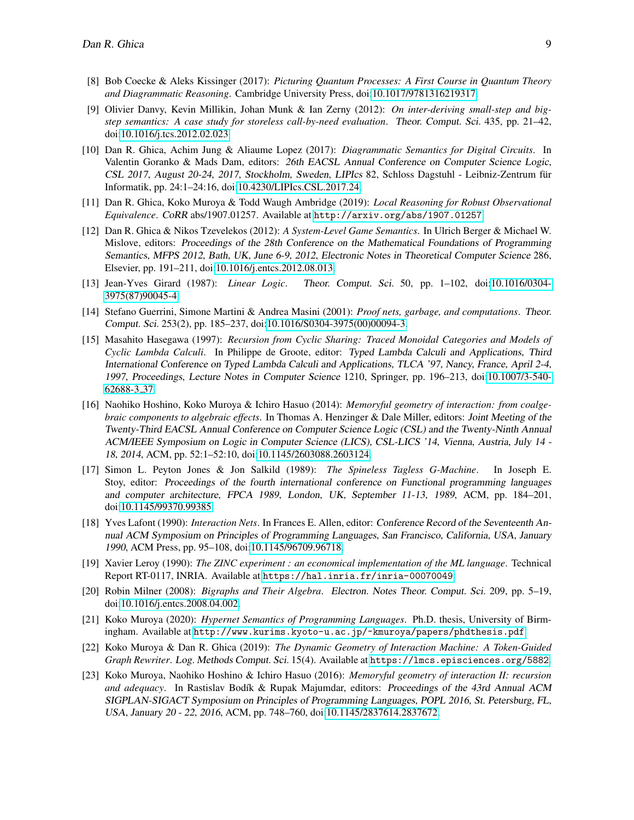- <span id="page-8-14"></span>[8] Bob Coecke & Aleks Kissinger (2017): *Picturing Quantum Processes: A First Course in Quantum Theory and Diagrammatic Reasoning*. Cambridge University Press, doi[:10.1017/9781316219317.](http://dx.doi.org/10.1017/9781316219317)
- <span id="page-8-4"></span>[9] Olivier Danvy, Kevin Millikin, Johan Munk & Ian Zerny (2012): *On inter-deriving small-step and bigstep semantics: A case study for storeless call-by-need evaluation*. Theor. Comput. Sci. 435, pp. 21–42, doi[:10.1016/j.tcs.2012.02.023.](http://dx.doi.org/10.1016/j.tcs.2012.02.023)
- <span id="page-8-15"></span>[10] Dan R. Ghica, Achim Jung & Aliaume Lopez (2017): *Diagrammatic Semantics for Digital Circuits*. In Valentin Goranko & Mads Dam, editors: 26th EACSL Annual Conference on Computer Science Logic, CSL 2017, August 20-24, 2017, Stockholm, Sweden, LIPIcs 82, Schloss Dagstuhl - Leibniz-Zentrum für Informatik, pp. 24:1–24:16, doi[:10.4230/LIPIcs.CSL.2017.24.](http://dx.doi.org/10.4230/LIPIcs.CSL.2017.24)
- <span id="page-8-0"></span>[11] Dan R. Ghica, Koko Muroya & Todd Waugh Ambridge (2019): *Local Reasoning for Robust Observational Equivalence*. CoRR abs/1907.01257. Available at <http://arxiv.org/abs/1907.01257>.
- <span id="page-8-2"></span>[12] Dan R. Ghica & Nikos Tzevelekos (2012): *A System-Level Game Semantics*. In Ulrich Berger & Michael W. Mislove, editors: Proceedings of the 28th Conference on the Mathematical Foundations of Programming Semantics, MFPS 2012, Bath, UK, June 6-9, 2012, Electronic Notes in Theoretical Computer Science 286, Elsevier, pp. 191–211, doi[:10.1016/j.entcs.2012.08.013.](http://dx.doi.org/10.1016/j.entcs.2012.08.013)
- <span id="page-8-9"></span>[13] Jean-Yves Girard (1987): *Linear Logic*. Theor. Comput. Sci. 50, pp. 1–102, doi[:10.1016/0304-](http://dx.doi.org/10.1016/0304-3975(87)90045-4) [3975\(87\)90045-4.](http://dx.doi.org/10.1016/0304-3975(87)90045-4)
- <span id="page-8-13"></span>[14] Stefano Guerrini, Simone Martini & Andrea Masini (2001): *Proof nets, garbage, and computations*. Theor. Comput. Sci. 253(2), pp. 185–237, doi[:10.1016/S0304-3975\(00\)00094-3.](http://dx.doi.org/10.1016/S0304-3975(00)00094-3)
- <span id="page-8-12"></span>[15] Masahito Hasegawa (1997): *Recursion from Cyclic Sharing: Traced Monoidal Categories and Models of Cyclic Lambda Calculi*. In Philippe de Groote, editor: Typed Lambda Calculi and Applications, Third International Conference on Typed Lambda Calculi and Applications, TLCA '97, Nancy, France, April 2-4, 1997, Proceedings, Lecture Notes in Computer Science 1210, Springer, pp. 196–213, doi[:10.1007/3-540-](http://dx.doi.org/10.1007/3-540-62688-3_37) [62688-3](http://dx.doi.org/10.1007/3-540-62688-3_37) 37.
- <span id="page-8-6"></span>[16] Naohiko Hoshino, Koko Muroya & Ichiro Hasuo (2014): *Memoryful geometry of interaction: from coalgebraic components to algebraic effects*. In Thomas A. Henzinger & Dale Miller, editors: Joint Meeting of the Twenty-Third EACSL Annual Conference on Computer Science Logic (CSL) and the Twenty-Ninth Annual ACM/IEEE Symposium on Logic in Computer Science (LICS), CSL-LICS '14, Vienna, Austria, July 14 - 18, 2014, ACM, pp. 52:1–52:10, doi[:10.1145/2603088.2603124.](http://dx.doi.org/10.1145/2603088.2603124)
- <span id="page-8-8"></span>[17] Simon L. Peyton Jones & Jon Salkild (1989): *The Spineless Tagless G-Machine*. In Joseph E. Stoy, editor: Proceedings of the fourth international conference on Functional programming languages and computer architecture, FPCA 1989, London, UK, September 11-13, 1989, ACM, pp. 184–201, doi[:10.1145/99370.99385.](http://dx.doi.org/10.1145/99370.99385)
- <span id="page-8-10"></span>[18] Yves Lafont (1990): *Interaction Nets*. In Frances E. Allen, editor: Conference Record of the Seventeenth Annual ACM Symposium on Principles of Programming Languages, San Francisco, California, USA, January 1990, ACM Press, pp. 95–108, doi[:10.1145/96709.96718.](http://dx.doi.org/10.1145/96709.96718)
- <span id="page-8-3"></span>[19] Xavier Leroy (1990): *The ZINC experiment : an economical implementation of the ML language*. Technical Report RT-0117, INRIA. Available at <https://hal.inria.fr/inria-00070049>.
- <span id="page-8-11"></span>[20] Robin Milner (2008): *Bigraphs and Their Algebra*. Electron. Notes Theor. Comput. Sci. 209, pp. 5–19, doi[:10.1016/j.entcs.2008.04.002.](http://dx.doi.org/10.1016/j.entcs.2008.04.002)
- <span id="page-8-1"></span>[21] Koko Muroya (2020): *Hypernet Semantics of Programming Languages*. Ph.D. thesis, University of Birmingham. Available at <http://www.kurims.kyoto-u.ac.jp/~kmuroya/papers/phdthesis.pdf>.
- <span id="page-8-5"></span>[22] Koko Muroya & Dan R. Ghica (2019): *The Dynamic Geometry of Interaction Machine: A Token-Guided Graph Rewriter*. Log. Methods Comput. Sci. 15(4). Available at <https://lmcs.episciences.org/5882>.
- <span id="page-8-7"></span>[23] Koko Muroya, Naohiko Hoshino & Ichiro Hasuo (2016): *Memoryful geometry of interaction II: recursion* and adequacy. In Rastislav Bodík & Rupak Majumdar, editors: Proceedings of the 43rd Annual ACM SIGPLAN-SIGACT Symposium on Principles of Programming Languages, POPL 2016, St. Petersburg, FL, USA, January 20 - 22, 2016, ACM, pp. 748–760, doi[:10.1145/2837614.2837672.](http://dx.doi.org/10.1145/2837614.2837672)